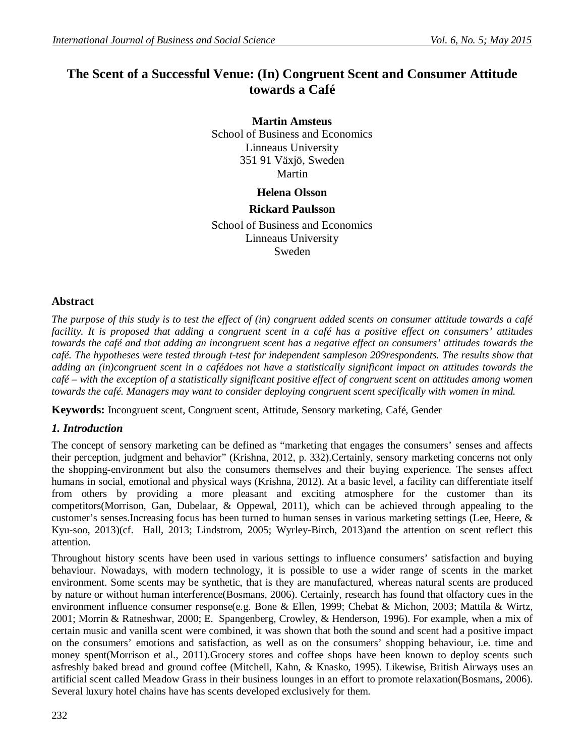# **The Scent of a Successful Venue: (In) Congruent Scent and Consumer Attitude towards a Café**

**Martin Amsteus** School of Business and Economics Linneaus University 351 91 Växjö, Sweden Martin

# **Helena Olsson**

# **Rickard Paulsson**

School of Business and Economics Linneaus University Sweden

# **Abstract**

*The purpose of this study is to test the effect of (in) congruent added scents on consumer attitude towards a café facility. It is proposed that adding a congruent scent in a café has a positive effect on consumers' attitudes towards the café and that adding an incongruent scent has a negative effect on consumers' attitudes towards the café. The hypotheses were tested through t-test for independent sampleson 209respondents. The results show that adding an (in)congruent scent in a cafédoes not have a statistically significant impact on attitudes towards the café – with the exception of a statistically significant positive effect of congruent scent on attitudes among women towards the café. Managers may want to consider deploying congruent scent specifically with women in mind.*

**Keywords:** Incongruent scent, Congruent scent, Attitude, Sensory marketing, Café, Gender

# *1. Introduction*

The concept of sensory marketing can be defined as "marketing that engages the consumers' senses and affects their perception, judgment and behavior" (Krishna, 2012, p. 332).Certainly, sensory marketing concerns not only the shopping-environment but also the consumers themselves and their buying experience. The senses affect humans in social, emotional and physical ways (Krishna, 2012). At a basic level, a facility can differentiate itself from others by providing a more pleasant and exciting atmosphere for the customer than its competitors(Morrison, Gan, Dubelaar, & Oppewal, 2011), which can be achieved through appealing to the customer's senses.Increasing focus has been turned to human senses in various marketing settings (Lee, Heere, & Kyu-soo, 2013)(cf. Hall, 2013; Lindstrom, 2005; Wyrley-Birch, 2013)and the attention on scent reflect this attention.

Throughout history scents have been used in various settings to influence consumers' satisfaction and buying behaviour. Nowadays, with modern technology, it is possible to use a wider range of scents in the market environment. Some scents may be synthetic, that is they are manufactured, whereas natural scents are produced by nature or without human interference(Bosmans, 2006). Certainly, research has found that olfactory cues in the environment influence consumer response(e.g. Bone & Ellen, 1999; Chebat & Michon, 2003; Mattila & Wirtz, 2001; Morrin & Ratneshwar, 2000; E. Spangenberg, Crowley, & Henderson, 1996). For example, when a mix of certain music and vanilla scent were combined, it was shown that both the sound and scent had a positive impact on the consumers' emotions and satisfaction, as well as on the consumers' shopping behaviour, i.e. time and money spent(Morrison et al., 2011).Grocery stores and coffee shops have been known to deploy scents such asfreshly baked bread and ground coffee (Mitchell, Kahn, & Knasko, 1995). Likewise, British Airways uses an artificial scent called Meadow Grass in their business lounges in an effort to promote relaxation(Bosmans, 2006). Several luxury hotel chains have has scents developed exclusively for them.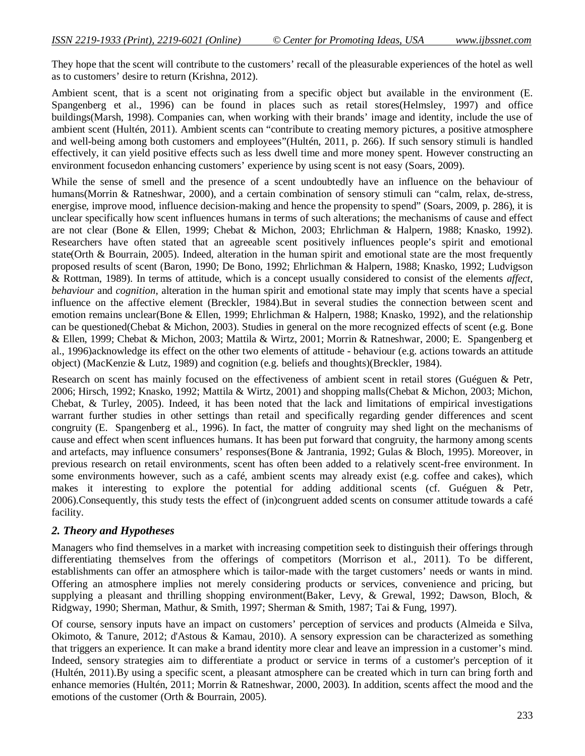They hope that the scent will contribute to the customers' recall of the pleasurable experiences of the hotel as well as to customers' desire to return (Krishna, 2012).

Ambient scent, that is a scent not originating from a specific object but available in the environment (E. Spangenberg et al., 1996) can be found in places such as retail stores(Helmsley, 1997) and office buildings(Marsh, 1998). Companies can, when working with their brands' image and identity, include the use of ambient scent (Hultén, 2011). Ambient scents can "contribute to creating memory pictures, a positive atmosphere and well-being among both customers and employees"(Hultén, 2011, p. 266). If such sensory stimuli is handled effectively, it can yield positive effects such as less dwell time and more money spent. However constructing an environment focusedon enhancing customers' experience by using scent is not easy (Soars, 2009).

While the sense of smell and the presence of a scent undoubtedly have an influence on the behaviour of humans(Morrin & Ratneshwar, 2000), and a certain combination of sensory stimuli can "calm, relax, de-stress, energise, improve mood, influence decision-making and hence the propensity to spend" (Soars, 2009, p. 286), it is unclear specifically how scent influences humans in terms of such alterations; the mechanisms of cause and effect are not clear (Bone & Ellen, 1999; Chebat & Michon, 2003; Ehrlichman & Halpern, 1988; Knasko, 1992). Researchers have often stated that an agreeable scent positively influences people's spirit and emotional state(Orth & Bourrain, 2005). Indeed, alteration in the human spirit and emotional state are the most frequently proposed results of scent (Baron, 1990; De Bono, 1992; Ehrlichman & Halpern, 1988; Knasko, 1992; Ludvigson & Rottman, 1989). In terms of attitude, which is a concept usually considered to consist of the elements *affect*, *behaviour* and *cognition*, alteration in the human spirit and emotional state may imply that scents have a special influence on the affective element (Breckler, 1984).But in several studies the connection between scent and emotion remains unclear(Bone & Ellen, 1999; Ehrlichman & Halpern, 1988; Knasko, 1992), and the relationship can be questioned(Chebat & Michon, 2003). Studies in general on the more recognized effects of scent (e.g. Bone & Ellen, 1999; Chebat & Michon, 2003; Mattila & Wirtz, 2001; Morrin & Ratneshwar, 2000; E. Spangenberg et al., 1996)acknowledge its effect on the other two elements of attitude - behaviour (e.g. actions towards an attitude object) (MacKenzie & Lutz, 1989) and cognition (e.g. beliefs and thoughts)(Breckler, 1984).

Research on scent has mainly focused on the effectiveness of ambient scent in retail stores (Guéguen & Petr, 2006; Hirsch, 1992; Knasko, 1992; Mattila & Wirtz, 2001) and shopping malls(Chebat & Michon, 2003; Michon, Chebat, & Turley, 2005). Indeed, it has been noted that the lack and limitations of empirical investigations warrant further studies in other settings than retail and specifically regarding gender differences and scent congruity (E. Spangenberg et al., 1996). In fact, the matter of congruity may shed light on the mechanisms of cause and effect when scent influences humans. It has been put forward that congruity, the harmony among scents and artefacts, may influence consumers' responses(Bone & Jantrania, 1992; Gulas & Bloch, 1995). Moreover, in previous research on retail environments, scent has often been added to a relatively scent-free environment. In some environments however, such as a café, ambient scents may already exist (e.g. coffee and cakes), which makes it interesting to explore the potential for adding additional scents (cf. Guéguen & Petr, 2006).Consequently, this study tests the effect of (in)congruent added scents on consumer attitude towards a café facility.

# *2. Theory and Hypotheses*

Managers who find themselves in a market with increasing competition seek to distinguish their offerings through differentiating themselves from the offerings of competitors (Morrison et al., 2011). To be different, establishments can offer an atmosphere which is tailor-made with the target customers' needs or wants in mind. Offering an atmosphere implies not merely considering products or services, convenience and pricing, but supplying a pleasant and thrilling shopping environment(Baker, Levy, & Grewal, 1992; Dawson, Bloch, & Ridgway, 1990; Sherman, Mathur, & Smith, 1997; Sherman & Smith, 1987; Tai & Fung, 1997).

Of course, sensory inputs have an impact on customers' perception of services and products (Almeida e Silva, Okimoto, & Tanure, 2012; d'Astous & Kamau, 2010). A sensory expression can be characterized as something that triggers an experience. It can make a brand identity more clear and leave an impression in a customer's mind. Indeed, sensory strategies aim to differentiate a product or service in terms of a customer's perception of it (Hultén, 2011).By using a specific scent, a pleasant atmosphere can be created which in turn can bring forth and enhance memories (Hultén, 2011; Morrin & Ratneshwar, 2000, 2003). In addition, scents affect the mood and the emotions of the customer (Orth & Bourrain, 2005).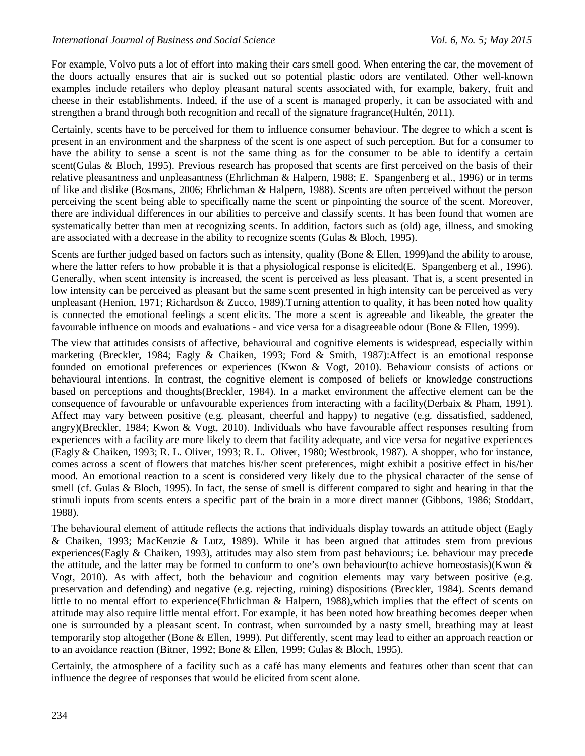For example, Volvo puts a lot of effort into making their cars smell good. When entering the car, the movement of the doors actually ensures that air is sucked out so potential plastic odors are ventilated. Other well-known examples include retailers who deploy pleasant natural scents associated with, for example, bakery, fruit and cheese in their establishments. Indeed, if the use of a scent is managed properly, it can be associated with and strengthen a brand through both recognition and recall of the signature fragrance(Hultén, 2011).

Certainly, scents have to be perceived for them to influence consumer behaviour. The degree to which a scent is present in an environment and the sharpness of the scent is one aspect of such perception. But for a consumer to have the ability to sense a scent is not the same thing as for the consumer to be able to identify a certain scent(Gulas & Bloch, 1995). Previous research has proposed that scents are first perceived on the basis of their relative pleasantness and unpleasantness (Ehrlichman & Halpern, 1988; E. Spangenberg et al., 1996) or in terms of like and dislike (Bosmans, 2006; Ehrlichman & Halpern, 1988). Scents are often perceived without the person perceiving the scent being able to specifically name the scent or pinpointing the source of the scent. Moreover, there are individual differences in our abilities to perceive and classify scents. It has been found that women are systematically better than men at recognizing scents. In addition, factors such as (old) age, illness, and smoking are associated with a decrease in the ability to recognize scents (Gulas & Bloch, 1995).

Scents are further judged based on factors such as intensity, quality (Bone & Ellen, 1999)and the ability to arouse, where the latter refers to how probable it is that a physiological response is elicited(E. Spangenberg et al., 1996). Generally, when scent intensity is increased, the scent is perceived as less pleasant. That is, a scent presented in low intensity can be perceived as pleasant but the same scent presented in high intensity can be perceived as very unpleasant (Henion, 1971; Richardson & Zucco, 1989). Turning attention to quality, it has been noted how quality is connected the emotional feelings a scent elicits. The more a scent is agreeable and likeable, the greater the favourable influence on moods and evaluations - and vice versa for a disagreeable odour (Bone & Ellen, 1999).

The view that attitudes consists of affective, behavioural and cognitive elements is widespread, especially within marketing (Breckler, 1984; Eagly & Chaiken, 1993; Ford & Smith, 1987):Affect is an emotional response founded on emotional preferences or experiences (Kwon & Vogt, 2010). Behaviour consists of actions or behavioural intentions. In contrast, the cognitive element is composed of beliefs or knowledge constructions based on perceptions and thoughts(Breckler, 1984). In a market environment the affective element can be the consequence of favourable or unfavourable experiences from interacting with a facility(Derbaix & Pham, 1991). Affect may vary between positive (e.g. pleasant, cheerful and happy) to negative (e.g. dissatisfied, saddened, angry)(Breckler, 1984; Kwon & Vogt, 2010). Individuals who have favourable affect responses resulting from experiences with a facility are more likely to deem that facility adequate, and vice versa for negative experiences (Eagly & Chaiken, 1993; R. L. Oliver, 1993; R. L. Oliver, 1980; Westbrook, 1987). A shopper, who for instance, comes across a scent of flowers that matches his/her scent preferences, might exhibit a positive effect in his/her mood. An emotional reaction to a scent is considered very likely due to the physical character of the sense of smell (cf. Gulas & Bloch, 1995). In fact, the sense of smell is different compared to sight and hearing in that the stimuli inputs from scents enters a specific part of the brain in a more direct manner (Gibbons, 1986; Stoddart, 1988).

The behavioural element of attitude reflects the actions that individuals display towards an attitude object (Eagly & Chaiken, 1993; MacKenzie & Lutz, 1989). While it has been argued that attitudes stem from previous experiences(Eagly & Chaiken, 1993), attitudes may also stem from past behaviours; i.e. behaviour may precede the attitude, and the latter may be formed to conform to one's own behaviour(to achieve homeostasis)(Kwon  $\&$ Vogt, 2010). As with affect, both the behaviour and cognition elements may vary between positive (e.g. preservation and defending) and negative (e.g. rejecting, ruining) dispositions (Breckler, 1984). Scents demand little to no mental effort to experience(Ehrlichman & Halpern, 1988),which implies that the effect of scents on attitude may also require little mental effort. For example, it has been noted how breathing becomes deeper when one is surrounded by a pleasant scent. In contrast, when surrounded by a nasty smell, breathing may at least temporarily stop altogether (Bone & Ellen, 1999). Put differently, scent may lead to either an approach reaction or to an avoidance reaction (Bitner, 1992; Bone & Ellen, 1999; Gulas & Bloch, 1995).

Certainly, the atmosphere of a facility such as a café has many elements and features other than scent that can influence the degree of responses that would be elicited from scent alone.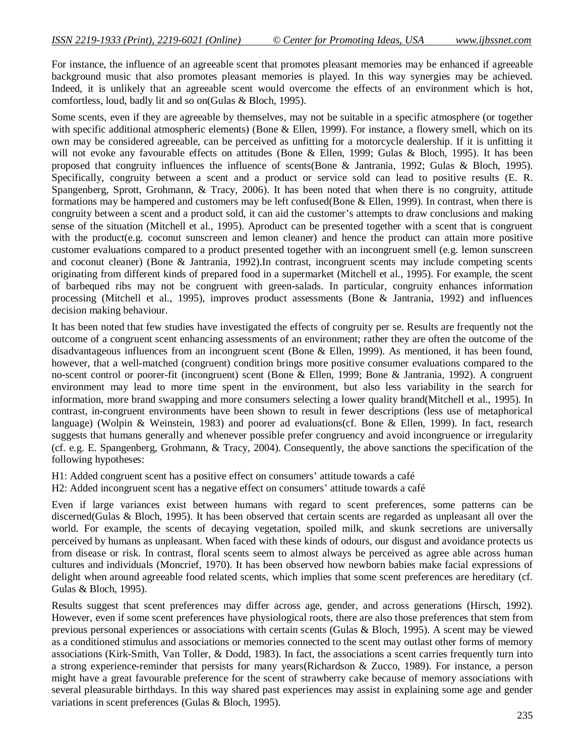For instance, the influence of an agreeable scent that promotes pleasant memories may be enhanced if agreeable background music that also promotes pleasant memories is played. In this way synergies may be achieved. Indeed, it is unlikely that an agreeable scent would overcome the effects of an environment which is hot, comfortless, loud, badly lit and so on(Gulas & Bloch, 1995).

Some scents, even if they are agreeable by themselves, may not be suitable in a specific atmosphere (or together with specific additional atmospheric elements) (Bone & Ellen, 1999). For instance, a flowery smell, which on its own may be considered agreeable, can be perceived as unfitting for a motorcycle dealership. If it is unfitting it will not evoke any favourable effects on attitudes (Bone & Ellen, 1999; Gulas & Bloch, 1995). It has been proposed that congruity influences the influence of scents(Bone & Jantrania, 1992; Gulas & Bloch, 1995). Specifically, congruity between a scent and a product or service sold can lead to positive results (E. R. Spangenberg, Sprott, Grohmann, & Tracy, 2006). It has been noted that when there is no congruity, attitude formations may be hampered and customers may be left confused(Bone & Ellen, 1999). In contrast, when there is congruity between a scent and a product sold, it can aid the customer's attempts to draw conclusions and making sense of the situation (Mitchell et al., 1995). Aproduct can be presented together with a scent that is congruent with the product(e.g. coconut sunscreen and lemon cleaner) and hence the product can attain more positive customer evaluations compared to a product presented together with an incongruent smell (e.g. lemon sunscreen and coconut cleaner) (Bone & Jantrania, 1992).In contrast, incongruent scents may include competing scents originating from different kinds of prepared food in a supermarket (Mitchell et al., 1995). For example, the scent of barbequed ribs may not be congruent with green-salads. In particular, congruity enhances information processing (Mitchell et al., 1995), improves product assessments (Bone & Jantrania, 1992) and influences decision making behaviour.

It has been noted that few studies have investigated the effects of congruity per se. Results are frequently not the outcome of a congruent scent enhancing assessments of an environment; rather they are often the outcome of the disadvantageous influences from an incongruent scent (Bone & Ellen, 1999). As mentioned, it has been found, however, that a well-matched (congruent) condition brings more positive consumer evaluations compared to the no-scent control or poorer-fit (incongruent) scent (Bone & Ellen, 1999; Bone & Jantrania, 1992). A congruent environment may lead to more time spent in the environment, but also less variability in the search for information, more brand swapping and more consumers selecting a lower quality brand(Mitchell et al., 1995). In contrast, in-congruent environments have been shown to result in fewer descriptions (less use of metaphorical language) (Wolpin & Weinstein, 1983) and poorer ad evaluations(cf. Bone & Ellen, 1999). In fact, research suggests that humans generally and whenever possible prefer congruency and avoid incongruence or irregularity (cf. e.g. E. Spangenberg, Grohmann, & Tracy, 2004). Consequently, the above sanctions the specification of the following hypotheses:

H1: Added congruent scent has a positive effect on consumers' attitude towards a café

H2: Added incongruent scent has a negative effect on consumers' attitude towards a café

Even if large variances exist between humans with regard to scent preferences, some patterns can be discerned(Gulas & Bloch, 1995). It has been observed that certain scents are regarded as unpleasant all over the world. For example, the scents of decaying vegetation, spoiled milk, and skunk secretions are universally perceived by humans as unpleasant. When faced with these kinds of odours, our disgust and avoidance protects us from disease or risk. In contrast, floral scents seem to almost always be perceived as agree able across human cultures and individuals (Moncrief, 1970). It has been observed how newborn babies make facial expressions of delight when around agreeable food related scents, which implies that some scent preferences are hereditary (cf. Gulas & Bloch, 1995).

Results suggest that scent preferences may differ across age, gender, and across generations (Hirsch, 1992). However, even if some scent preferences have physiological roots, there are also those preferences that stem from previous personal experiences or associations with certain scents (Gulas & Bloch, 1995). A scent may be viewed as a conditioned stimulus and associations or memories connected to the scent may outlast other forms of memory associations (Kirk-Smith, Van Toller, & Dodd, 1983). In fact, the associations a scent carries frequently turn into a strong experience-reminder that persists for many years(Richardson & Zucco, 1989). For instance, a person might have a great favourable preference for the scent of strawberry cake because of memory associations with several pleasurable birthdays. In this way shared past experiences may assist in explaining some age and gender variations in scent preferences (Gulas & Bloch, 1995).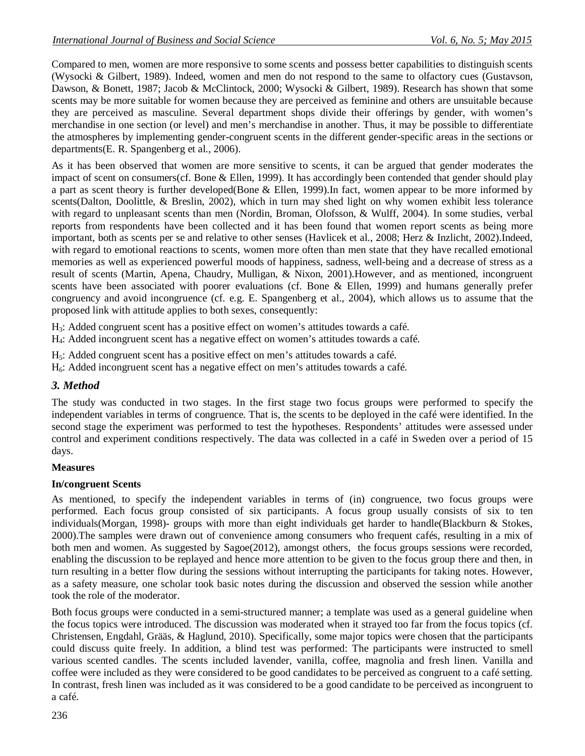Compared to men, women are more responsive to some scents and possess better capabilities to distinguish scents (Wysocki & Gilbert, 1989). Indeed, women and men do not respond to the same to olfactory cues (Gustavson, Dawson, & Bonett, 1987; Jacob & McClintock, 2000; Wysocki & Gilbert, 1989). Research has shown that some scents may be more suitable for women because they are perceived as feminine and others are unsuitable because they are perceived as masculine. Several department shops divide their offerings by gender, with women's merchandise in one section (or level) and men's merchandise in another. Thus, it may be possible to differentiate the atmospheres by implementing gender-congruent scents in the different gender-specific areas in the sections or departments(E. R. Spangenberg et al., 2006).

As it has been observed that women are more sensitive to scents, it can be argued that gender moderates the impact of scent on consumers(cf. Bone & Ellen, 1999). It has accordingly been contended that gender should play a part as scent theory is further developed(Bone & Ellen, 1999).In fact, women appear to be more informed by scents(Dalton, Doolittle, & Breslin, 2002), which in turn may shed light on why women exhibit less tolerance with regard to unpleasant scents than men (Nordin, Broman, Olofsson, & Wulff, 2004). In some studies, verbal reports from respondents have been collected and it has been found that women report scents as being more important, both as scents per se and relative to other senses (Havlicek et al., 2008; Herz & Inzlicht, 2002).Indeed, with regard to emotional reactions to scents, women more often than men state that they have recalled emotional memories as well as experienced powerful moods of happiness, sadness, well-being and a decrease of stress as a result of scents (Martin, Apena, Chaudry, Mulligan, & Nixon, 2001).However, and as mentioned, incongruent scents have been associated with poorer evaluations (cf. Bone & Ellen, 1999) and humans generally prefer congruency and avoid incongruence (cf. e.g. E. Spangenberg et al., 2004), which allows us to assume that the proposed link with attitude applies to both sexes, consequently:

H3: Added congruent scent has a positive effect on women's attitudes towards a café.

H4: Added incongruent scent has a negative effect on women's attitudes towards a café.

H5: Added congruent scent has a positive effect on men's attitudes towards a café.

 $H_6$ : Added incongruent scent has a negative effect on men's attitudes towards a café.

# *3. Method*

The study was conducted in two stages. In the first stage two focus groups were performed to specify the independent variables in terms of congruence. That is, the scents to be deployed in the café were identified. In the second stage the experiment was performed to test the hypotheses. Respondents' attitudes were assessed under control and experiment conditions respectively. The data was collected in a café in Sweden over a period of 15 days.

# **Measures**

# **In/congruent Scents**

As mentioned, to specify the independent variables in terms of (in) congruence, two focus groups were performed. Each focus group consisted of six participants. A focus group usually consists of six to ten individuals(Morgan, 1998)- groups with more than eight individuals get harder to handle(Blackburn & Stokes, 2000).The samples were drawn out of convenience among consumers who frequent cafés, resulting in a mix of both men and women. As suggested by Sagoe(2012), amongst others, the focus groups sessions were recorded, enabling the discussion to be replayed and hence more attention to be given to the focus group there and then, in turn resulting in a better flow during the sessions without interrupting the participants for taking notes. However, as a safety measure, one scholar took basic notes during the discussion and observed the session while another took the role of the moderator.

Both focus groups were conducted in a semi-structured manner; a template was used as a general guideline when the focus topics were introduced. The discussion was moderated when it strayed too far from the focus topics (cf. Christensen, Engdahl, Grääs, & Haglund, 2010). Specifically, some major topics were chosen that the participants could discuss quite freely. In addition, a blind test was performed: The participants were instructed to smell various scented candles. The scents included lavender, vanilla, coffee, magnolia and fresh linen. Vanilla and coffee were included as they were considered to be good candidates to be perceived as congruent to a café setting. In contrast, fresh linen was included as it was considered to be a good candidate to be perceived as incongruent to a café.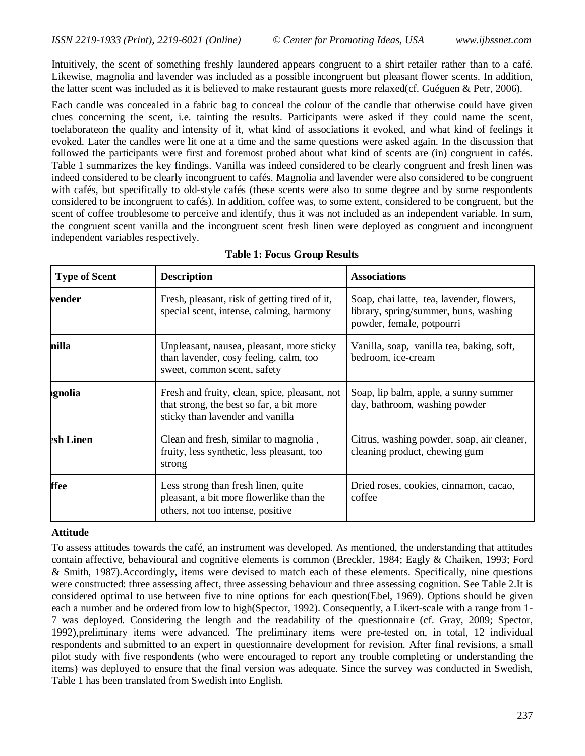Intuitively, the scent of something freshly laundered appears congruent to a shirt retailer rather than to a café. Likewise, magnolia and lavender was included as a possible incongruent but pleasant flower scents. In addition, the latter scent was included as it is believed to make restaurant guests more relaxed(cf. Guéguen & Petr, 2006).

Each candle was concealed in a fabric bag to conceal the colour of the candle that otherwise could have given clues concerning the scent, i.e. tainting the results. Participants were asked if they could name the scent, toelaborateon the quality and intensity of it, what kind of associations it evoked, and what kind of feelings it evoked. Later the candles were lit one at a time and the same questions were asked again. In the discussion that followed the participants were first and foremost probed about what kind of scents are (in) congruent in cafés. Table 1 summarizes the key findings. Vanilla was indeed considered to be clearly congruent and fresh linen was indeed considered to be clearly incongruent to cafés. Magnolia and lavender were also considered to be congruent with cafés, but specifically to old-style cafés (these scents were also to some degree and by some respondents considered to be incongruent to cafés). In addition, coffee was, to some extent, considered to be congruent, but the scent of coffee troublesome to perceive and identify, thus it was not included as an independent variable. In sum, the congruent scent vanilla and the incongruent scent fresh linen were deployed as congruent and incongruent independent variables respectively.

| <b>Type of Scent</b> | <b>Description</b>                                                                                                            | <b>Associations</b><br>Soap, chai latte, tea, lavender, flowers,<br>library, spring/summer, buns, washing<br>powder, female, potpourri<br>Vanilla, soap, vanilla tea, baking, soft,<br>bedroom, ice-cream |  |  |  |
|----------------------|-------------------------------------------------------------------------------------------------------------------------------|-----------------------------------------------------------------------------------------------------------------------------------------------------------------------------------------------------------|--|--|--|
| vender               | Fresh, pleasant, risk of getting tired of it,<br>special scent, intense, calming, harmony                                     |                                                                                                                                                                                                           |  |  |  |
| nilla                | Unpleasant, nausea, pleasant, more sticky<br>than lavender, cosy feeling, calm, too<br>sweet, common scent, safety            |                                                                                                                                                                                                           |  |  |  |
| ıgnolia              | Fresh and fruity, clean, spice, pleasant, not<br>that strong, the best so far, a bit more<br>sticky than lavender and vanilla | Soap, lip balm, apple, a sunny summer<br>day, bathroom, washing powder                                                                                                                                    |  |  |  |
| esh Linen            | Clean and fresh, similar to magnolia,<br>fruity, less synthetic, less pleasant, too<br>strong                                 | Citrus, washing powder, soap, air cleaner,<br>cleaning product, chewing gum                                                                                                                               |  |  |  |
| ffee                 | Less strong than fresh linen, quite<br>pleasant, a bit more flowerlike than the<br>others, not too intense, positive          | Dried roses, cookies, cinnamon, cacao,<br>coffee                                                                                                                                                          |  |  |  |

# **Attitude**

To assess attitudes towards the café, an instrument was developed. As mentioned, the understanding that attitudes contain affective, behavioural and cognitive elements is common (Breckler, 1984; Eagly & Chaiken, 1993; Ford & Smith, 1987).Accordingly, items were devised to match each of these elements. Specifically, nine questions were constructed: three assessing affect, three assessing behaviour and three assessing cognition. See Table 2.It is considered optimal to use between five to nine options for each question(Ebel, 1969). Options should be given each a number and be ordered from low to high(Spector, 1992). Consequently, a Likert-scale with a range from 1- 7 was deployed. Considering the length and the readability of the questionnaire (cf. Gray, 2009; Spector, 1992),preliminary items were advanced. The preliminary items were pre-tested on, in total, 12 individual respondents and submitted to an expert in questionnaire development for revision. After final revisions, a small pilot study with five respondents (who were encouraged to report any trouble completing or understanding the items) was deployed to ensure that the final version was adequate. Since the survey was conducted in Swedish, Table 1 has been translated from Swedish into English.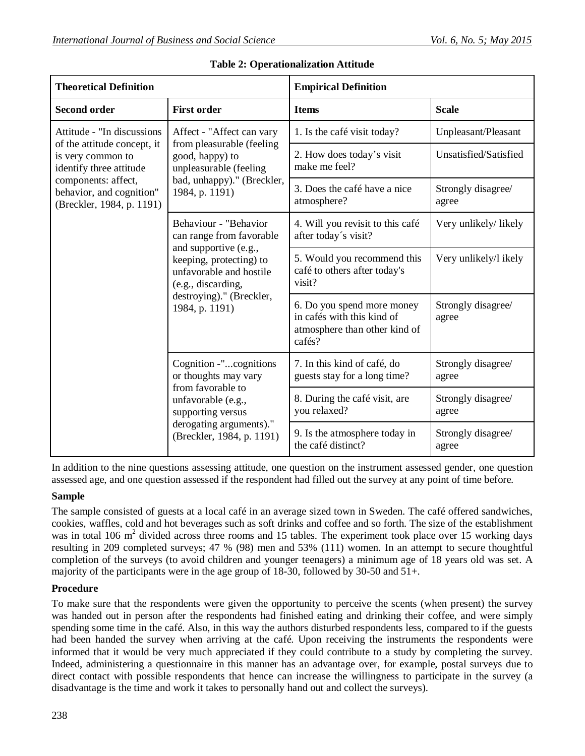| <b>Theoretical Definition</b>                                                                                                                                                             |                                                                                                                                                 | <b>Empirical Definition</b>                                                                         |                             |  |  |
|-------------------------------------------------------------------------------------------------------------------------------------------------------------------------------------------|-------------------------------------------------------------------------------------------------------------------------------------------------|-----------------------------------------------------------------------------------------------------|-----------------------------|--|--|
| <b>Second order</b>                                                                                                                                                                       | <b>First order</b>                                                                                                                              | <b>Items</b>                                                                                        | <b>Scale</b>                |  |  |
| Attitude - "In discussions<br>of the attitude concept, it<br>is very common to<br>identify three attitude<br>components: affect,<br>behavior, and cognition"<br>(Breckler, 1984, p. 1191) | Affect - "Affect can vary<br>from pleasurable (feeling<br>good, happy) to<br>unpleasurable (feeling                                             | 1. Is the café visit today?                                                                         | Unpleasant/Pleasant         |  |  |
|                                                                                                                                                                                           |                                                                                                                                                 | 2. How does today's visit<br>make me feel?                                                          | Unsatisfied/Satisfied       |  |  |
|                                                                                                                                                                                           | bad, unhappy)." (Breckler,<br>1984, p. 1191)                                                                                                    | 3. Does the café have a nice<br>atmosphere?                                                         | Strongly disagree/<br>agree |  |  |
|                                                                                                                                                                                           | Behaviour - "Behavior<br>can range from favorable                                                                                               | 4. Will you revisit to this café<br>after today's visit?                                            | Very unlikely/ likely       |  |  |
|                                                                                                                                                                                           | and supportive (e.g.,<br>keeping, protecting) to<br>unfavorable and hostile<br>(e.g., discarding,<br>destroying)." (Breckler,<br>1984, p. 1191) | 5. Would you recommend this<br>café to others after today's<br>visit?                               | Very unlikely/l ikely       |  |  |
|                                                                                                                                                                                           |                                                                                                                                                 | 6. Do you spend more money<br>in cafés with this kind of<br>atmosphere than other kind of<br>cafés? | Strongly disagree/<br>agree |  |  |
|                                                                                                                                                                                           | Cognition -"cognitions<br>or thoughts may vary<br>from favorable to                                                                             | 7. In this kind of café, do<br>guests stay for a long time?                                         | Strongly disagree/<br>agree |  |  |
|                                                                                                                                                                                           | unfavorable (e.g.,<br>supporting versus                                                                                                         | 8. During the café visit, are<br>you relaxed?                                                       | Strongly disagree/<br>agree |  |  |
|                                                                                                                                                                                           | derogating arguments)."<br>(Breckler, 1984, p. 1191)                                                                                            | 9. Is the atmosphere today in<br>the café distinct?                                                 | Strongly disagree/<br>agree |  |  |

**Table 2: Operationalization Attitude**

In addition to the nine questions assessing attitude, one question on the instrument assessed gender, one question assessed age, and one question assessed if the respondent had filled out the survey at any point of time before.

# **Sample**

The sample consisted of guests at a local café in an average sized town in Sweden. The café offered sandwiches, cookies, waffles, cold and hot beverages such as soft drinks and coffee and so forth. The size of the establishment was in total 106 m<sup>2</sup> divided across three rooms and 15 tables. The experiment took place over 15 working days resulting in 209 completed surveys; 47 % (98) men and 53% (111) women. In an attempt to secure thoughtful completion of the surveys (to avoid children and younger teenagers) a minimum age of 18 years old was set. A majority of the participants were in the age group of 18-30, followed by 30-50 and 51+.

# **Procedure**

To make sure that the respondents were given the opportunity to perceive the scents (when present) the survey was handed out in person after the respondents had finished eating and drinking their coffee, and were simply spending some time in the café. Also, in this way the authors disturbed respondents less, compared to if the guests had been handed the survey when arriving at the café. Upon receiving the instruments the respondents were informed that it would be very much appreciated if they could contribute to a study by completing the survey. Indeed, administering a questionnaire in this manner has an advantage over, for example, postal surveys due to direct contact with possible respondents that hence can increase the willingness to participate in the survey (a disadvantage is the time and work it takes to personally hand out and collect the surveys).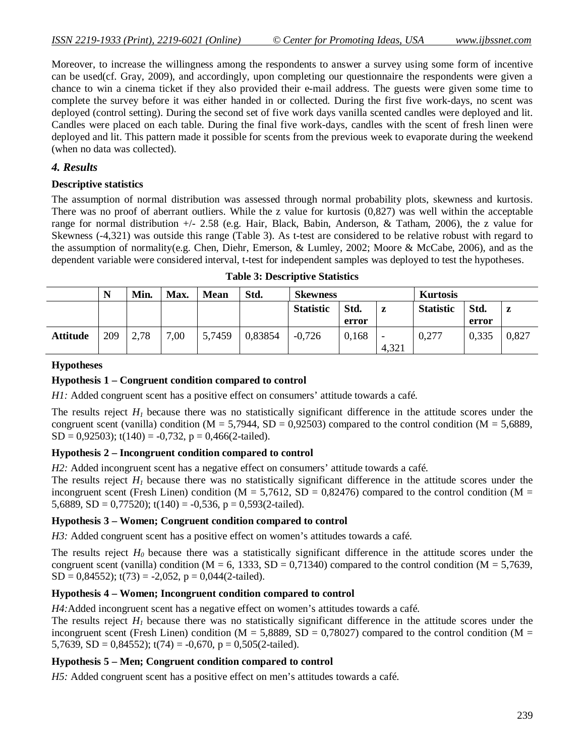Moreover, to increase the willingness among the respondents to answer a survey using some form of incentive can be used(cf. Gray, 2009), and accordingly, upon completing our questionnaire the respondents were given a chance to win a cinema ticket if they also provided their e-mail address. The guests were given some time to complete the survey before it was either handed in or collected. During the first five work-days, no scent was deployed (control setting). During the second set of five work days vanilla scented candles were deployed and lit. Candles were placed on each table. During the final five work-days, candles with the scent of fresh linen were deployed and lit. This pattern made it possible for scents from the previous week to evaporate during the weekend (when no data was collected).

#### *4. Results*

#### **Descriptive statistics**

The assumption of normal distribution was assessed through normal probability plots, skewness and kurtosis. There was no proof of aberrant outliers. While the z value for kurtosis (0,827) was well within the acceptable range for normal distribution +/- 2.58 (e.g. Hair, Black, Babin, Anderson, & Tatham, 2006), the z value for Skewness (-4,321) was outside this range (Table 3). As t-test are considered to be relative robust with regard to the assumption of normality(e.g. Chen, Diehr, Emerson, & Lumley, 2002; Moore & McCabe, 2006), and as the dependent variable were considered interval, t-test for independent samples was deployed to test the hypotheses.

|                 | N   | Min. | Max. | <b>Mean</b> | Std.    | <b>Skewness</b>  |       |                          | <b>Kurtosis</b>  |       |       |
|-----------------|-----|------|------|-------------|---------|------------------|-------|--------------------------|------------------|-------|-------|
|                 |     |      |      |             |         | <b>Statistic</b> | Std.  | z                        | <b>Statistic</b> | Std.  | z     |
|                 |     |      |      |             |         |                  | error |                          |                  | error |       |
| <b>Attitude</b> | 209 | 2,78 | 7,00 | 5,7459      | 0,83854 | $-0,726$         | 0,168 | $\overline{\phantom{0}}$ | 0,277            | 0,335 | 0,827 |
|                 |     |      |      |             |         |                  |       | 4,321                    |                  |       |       |

**Table 3: Descriptive Statistics**

### **Hypotheses**

### **Hypothesis 1 – Congruent condition compared to control**

*H1*: Added congruent scent has a positive effect on consumers' attitude towards a café.

The results reject  $H<sub>I</sub>$  because there was no statistically significant difference in the attitude scores under the congruent scent (vanilla) condition ( $M = 5,7944$ ,  $SD = 0,92503$ ) compared to the control condition ( $M = 5,6889$ ,  $SD = 0.92503$ ; t(140) = -0.732, p = 0.466(2-tailed).

#### **Hypothesis 2 – Incongruent condition compared to control**

*H2*: Added incongruent scent has a negative effect on consumers' attitude towards a café.

The results reject  $H<sub>I</sub>$  because there was no statistically significant difference in the attitude scores under the incongruent scent (Fresh Linen) condition ( $M = 5,7612$ ,  $SD = 0,82476$ ) compared to the control condition ( $M =$ 5,6889, SD = 0,77520); t(140) = -0,536, p = 0,593(2-tailed).

#### **Hypothesis 3 – Women; Congruent condition compared to control**

*H3*: Added congruent scent has a positive effect on women's attitudes towards a café.

The results reject *H0* because there was a statistically significant difference in the attitude scores under the congruent scent (vanilla) condition (M = 6, 1333, SD = 0,71340) compared to the control condition (M = 5,7639,  $SD = 0,84552$ ;  $t(73) = -2,052$ ,  $p = 0,044(2-tailed)$ .

### **Hypothesis 4 – Women; Incongruent condition compared to control**

*H4:*Added incongruent scent has a negative effect on women's attitudes towards a café.

The results reject  $H_I$  because there was no statistically significant difference in the attitude scores under the incongruent scent (Fresh Linen) condition ( $M = 5,8889$ , SD = 0,78027) compared to the control condition ( $M =$ 5,7639, SD = 0,84552);  $t(74) = -0.670$ ,  $p = 0.505(2-tailed)$ .

### **Hypothesis 5 – Men; Congruent condition compared to control**

*H5:* Added congruent scent has a positive effect on men's attitudes towards a café.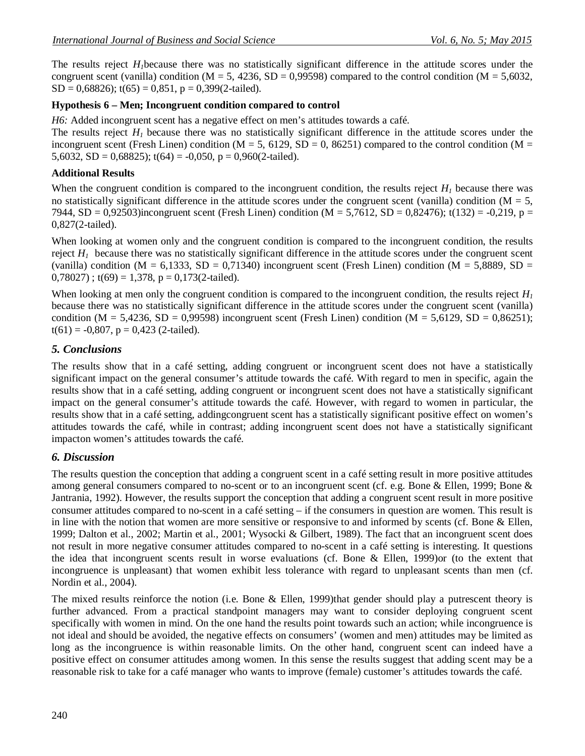The results reject *H1*because there was no statistically significant difference in the attitude scores under the congruent scent (vanilla) condition (M = 5, 4236, SD = 0,99598) compared to the control condition (M = 5,6032,  $SD = 0,68826$ ;  $t(65) = 0,851$ ,  $p = 0,399(2-tailed)$ .

### **Hypothesis 6 – Men; Incongruent condition compared to control**

*H6:* Added incongruent scent has a negative effect on men's attitudes towards a café.

The results reject  $H<sub>I</sub>$  because there was no statistically significant difference in the attitude scores under the incongruent scent (Fresh Linen) condition ( $M = 5$ , 6129, SD = 0, 86251) compared to the control condition ( $M =$ 5,6032, SD = 0,68825);  $t(64) = -0,050$ ,  $p = 0,960(2-tailed)$ .

### **Additional Results**

When the congruent condition is compared to the incongruent condition, the results reject  $H<sub>l</sub>$  because there was no statistically significant difference in the attitude scores under the congruent scent (vanilla) condition ( $M = 5$ , 7944, SD = 0,92503)incongruent scent (Fresh Linen) condition (M = 5,7612, SD = 0,82476); t(132) = -0,219, p = 0,827(2-tailed).

When looking at women only and the congruent condition is compared to the incongruent condition, the results reject  $H_1$  because there was no statistically significant difference in the attitude scores under the congruent scent (vanilla) condition (M = 6,1333, SD = 0,71340) incongruent scent (Fresh Linen) condition (M = 5,8889, SD =  $(0.78027)$ ; t(69) = 1,378, p = 0,173(2-tailed).

When looking at men only the congruent condition is compared to the incongruent condition, the results reject  $H_I$ because there was no statistically significant difference in the attitude scores under the congruent scent (vanilla) condition (M = 5,4236, SD = 0,99598) incongruent scent (Fresh Linen) condition (M = 5,6129, SD = 0,86251);  $t(61) = -0,807$ ,  $p = 0,423$  (2-tailed).

# *5. Conclusions*

The results show that in a café setting, adding congruent or incongruent scent does not have a statistically significant impact on the general consumer's attitude towards the café. With regard to men in specific, again the results show that in a café setting, adding congruent or incongruent scent does not have a statistically significant impact on the general consumer's attitude towards the café. However, with regard to women in particular, the results show that in a café setting, addingcongruent scent has a statistically significant positive effect on women's attitudes towards the café, while in contrast; adding incongruent scent does not have a statistically significant impacton women's attitudes towards the café.

# *6. Discussion*

The results question the conception that adding a congruent scent in a café setting result in more positive attitudes among general consumers compared to no-scent or to an incongruent scent (cf. e.g. Bone & Ellen, 1999; Bone & Jantrania, 1992). However, the results support the conception that adding a congruent scent result in more positive consumer attitudes compared to no-scent in a café setting – if the consumers in question are women. This result is in line with the notion that women are more sensitive or responsive to and informed by scents (cf. Bone & Ellen, 1999; Dalton et al., 2002; Martin et al., 2001; Wysocki & Gilbert, 1989). The fact that an incongruent scent does not result in more negative consumer attitudes compared to no-scent in a café setting is interesting. It questions the idea that incongruent scents result in worse evaluations (cf. Bone & Ellen, 1999)or (to the extent that incongruence is unpleasant) that women exhibit less tolerance with regard to unpleasant scents than men (cf. Nordin et al., 2004).

The mixed results reinforce the notion (i.e. Bone & Ellen, 1999)that gender should play a putrescent theory is further advanced. From a practical standpoint managers may want to consider deploying congruent scent specifically with women in mind. On the one hand the results point towards such an action; while incongruence is not ideal and should be avoided, the negative effects on consumers' (women and men) attitudes may be limited as long as the incongruence is within reasonable limits. On the other hand, congruent scent can indeed have a positive effect on consumer attitudes among women. In this sense the results suggest that adding scent may be a reasonable risk to take for a café manager who wants to improve (female) customer's attitudes towards the café.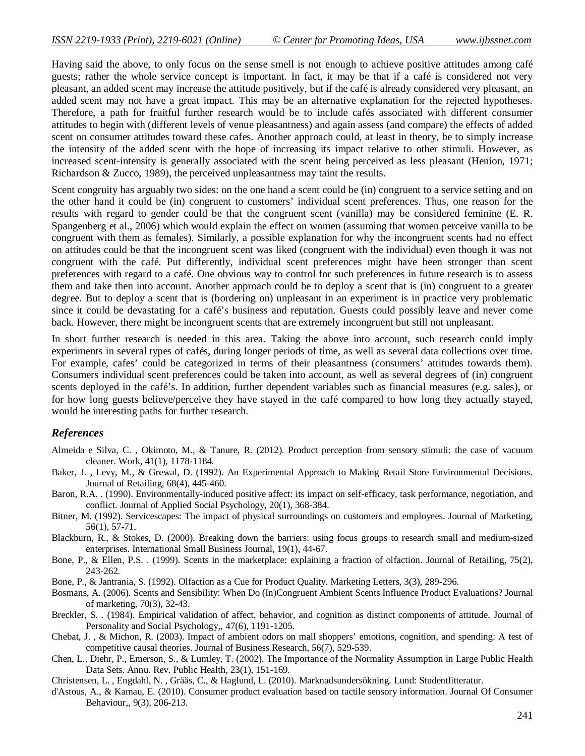Having said the above, to only focus on the sense smell is not enough to achieve positive attitudes among café guests; rather the whole service concept is important. In fact, it may be that if a café is considered not very pleasant, an added scent may increase the attitude positively, but if the café is already considered very pleasant, an added scent may not have a great impact. This may be an alternative explanation for the rejected hypotheses. Therefore, a path for fruitful further research would be to include cafés associated with different consumer attitudes to begin with (different levels of venue pleasantness) and again assess (and compare) the effects of added scent on consumer attitudes toward these cafes. Another approach could, at least in theory, be to simply increase the intensity of the added scent with the hope of increasing its impact relative to other stimuli. However, as increased scent-intensity is generally associated with the scent being perceived as less pleasant (Henion, 1971; Richardson & Zucco, 1989), the perceived unpleasantness may taint the results.

Scent congruity has arguably two sides: on the one hand a scent could be (in) congruent to a service setting and on the other hand it could be (in) congruent to customers' individual scent preferences. Thus, one reason for the results with regard to gender could be that the congruent scent (vanilla) may be considered feminine (E. R. Spangenberg et al., 2006) which would explain the effect on women (assuming that women perceive vanilla to be congruent with them as females). Similarly, a possible explanation for why the incongruent scents had no effect on attitudes could be that the incongruent scent was liked (congruent with the individual) even though it was not congruent with the café. Put differently, individual scent preferences might have been stronger than scent preferences with regard to a café. One obvious way to control for such preferences in future research is to assess them and take then into account. Another approach could be to deploy a scent that is (in) congruent to a greater degree. But to deploy a scent that is (bordering on) unpleasant in an experiment is in practice very problematic since it could be devastating for a café's business and reputation. Guests could possibly leave and never come back. However, there might be incongruent scents that are extremely incongruent but still not unpleasant.

In short further research is needed in this area. Taking the above into account, such research could imply experiments in several types of cafés, during longer periods of time, as well as several data collections over time. For example, cafes' could be categorized in terms of their pleasantness (consumers' attitudes towards them). Consumers individual scent preferences could be taken into account, as well as several degrees of (in) congruent scents deployed in the café's. In addition, further dependent variables such as financial measures (e.g. sales), or for how long guests believe/perceive they have stayed in the café compared to how long they actually stayed, would be interesting paths for further research.

### *References*

- Almeida e Silva, C. , Okimoto, M., & Tanure, R. (2012). Product perception from sensory stimuli: the case of vacuum cleaner. Work, 41(1), 1178-1184.
- Baker, J. , Levy, M., & Grewal, D. (1992). An Experimental Approach to Making Retail Store Environmental Decisions. Journal of Retailing, 68(4), 445-460.
- Baron, R.A. . (1990). Environmentally-induced positive affect: its impact on self-efficacy, task performance, negotiation, and conflict. Journal of Applied Social Psychology, 20(1), 368-384.
- Bitner, M. (1992). Servicescapes: The impact of physical surroundings on customers and employees. Journal of Marketing, 56(1), 57-71.
- Blackburn, R., & Stokes, D. (2000). Breaking down the barriers: using focus groups to research small and medium-sized enterprises. International Small Business Journal, 19(1), 44-67.
- Bone, P., & Ellen, P.S. . (1999). Scents in the marketplace: explaining a fraction of olfaction. Journal of Retailing, 75(2), 243-262.
- Bone, P., & Jantrania, S. (1992). Olfaction as a Cue for Product Quality. Marketing Letters, 3(3), 289-296.
- Bosmans, A. (2006). Scents and Sensibility: When Do (In)Congruent Ambient Scents Influence Product Evaluations? Journal of marketing, 70(3), 32-43.
- Breckler, S. . (1984). Empirical validation of affect, behavior, and cognition as distinct components of attitude. Journal of Personality and Social Psychology,, 47(6), 1191-1205.
- Chebat, J. , & Michon, R. (2003). Impact of ambient odors on mall shoppers' emotions, cognition, and spending: A test of competitive causal theories. Journal of Business Research, 56(7), 529-539.
- Chen, L., Diehr, P., Emerson, S., & Lumley, T. (2002). The Importance of the Normality Assumption in Large Public Health Data Sets. Annu. Rev. Public Health, 23(1), 151-169.
- Christensen, L. , Engdahl, N. , Grääs, C., & Haglund, L. (2010). Marknadsundersökning. Lund: Studentlitteratur.
- d'Astous, A., & Kamau, E. (2010). Consumer product evaluation based on tactile sensory information. Journal Of Consumer Behaviour,, 9(3), 206-213.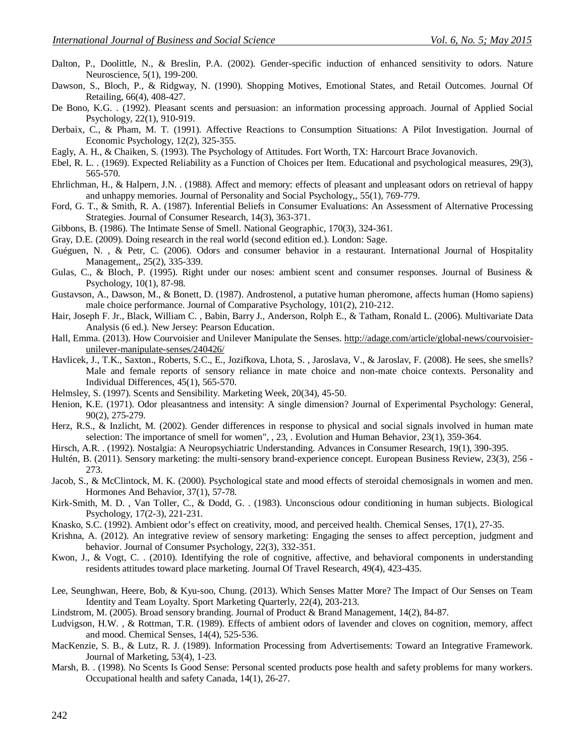- Dalton, P., Doolittle, N., & Breslin, P.A. (2002). Gender-specific induction of enhanced sensitivity to odors. Nature Neuroscience, 5(1), 199-200.
- Dawson, S., Bloch, P., & Ridgway, N. (1990). Shopping Motives, Emotional States, and Retail Outcomes. Journal Of Retailing, 66(4), 408-427.
- De Bono, K.G. . (1992). Pleasant scents and persuasion: an information processing approach. Journal of Applied Social Psychology, 22(1), 910-919.
- Derbaix, C., & Pham, M. T. (1991). Affective Reactions to Consumption Situations: A Pilot Investigation. Journal of Economic Psychology, 12(2), 325-355.
- Eagly, A. H., & Chaiken, S. (1993). The Psychology of Attitudes. Fort Worth, TX: Harcourt Brace Jovanovich.
- Ebel, R. L. . (1969). Expected Reliability as a Function of Choices per Item. Educational and psychological measures, 29(3), 565-570.
- Ehrlichman, H., & Halpern, J.N. . (1988). Affect and memory: effects of pleasant and unpleasant odors on retrieval of happy and unhappy memories. Journal of Personality and Social Psychology,, 55(1), 769-779.
- Ford, G. T., & Smith, R. A. (1987). Inferential Beliefs in Consumer Evaluations: An Assessment of Alternative Processing Strategies. Journal of Consumer Research, 14(3), 363-371.
- Gibbons, B. (1986). The Intimate Sense of Smell. National Geographic, 170(3), 324-361.
- Gray, D.E. (2009). Doing research in the real world (second edition ed.). London: Sage.
- Guéguen, N. , & Petr, C. (2006). Odors and consumer behavior in a restaurant. International Journal of Hospitality Management,, 25(2), 335-339.
- Gulas, C., & Bloch, P. (1995). Right under our noses: ambient scent and consumer responses. Journal of Business & Psychology, 10(1), 87-98.
- Gustavson, A., Dawson, M., & Bonett, D. (1987). Androstenol, a putative human pheromone, affects human (Homo sapiens) male choice performance. Journal of Comparative Psychology, 101(2), 210-212.
- Hair, Joseph F. Jr., Black, William C. , Babin, Barry J., Anderson, Rolph E., & Tatham, Ronald L. (2006). Multivariate Data Analysis (6 ed.). New Jersey: Pearson Education.
- Hall, Emma. (2013). How Courvoisier and Unilever Manipulate the Senses. http://adage.com/article/global-news/courvoisierunilever-manipulate-senses/240426/
- Havlicek, J., T.K., Saxton., Roberts, S.C., E., Jozifkova, Lhota, S. , Jaroslava, V., & Jaroslav, F. (2008). He sees, she smells? Male and female reports of sensory reliance in mate choice and non-mate choice contexts. Personality and Individual Differences, 45(1), 565-570.
- Helmsley, S. (1997). Scents and Sensibility. Marketing Week, 20(34), 45-50.
- Henion, K.E. (1971). Odor pleasantness and intensity: A single dimension? Journal of Experimental Psychology: General, 90(2), 275-279.
- Herz, R.S., & Inzlicht, M. (2002). Gender differences in response to physical and social signals involved in human mate selection: The importance of smell for women", , 23, . Evolution and Human Behavior, 23(1), 359-364.
- Hirsch, A.R. . (1992). Nostalgia: A Neuropsychiatric Understanding. Advances in Consumer Research, 19(1), 390-395.
- Hultén, B. (2011). Sensory marketing: the multi-sensory brand-experience concept. European Business Review, 23(3), 256 273.
- Jacob, S., & McClintock, M. K. (2000). Psychological state and mood effects of steroidal chemosignals in women and men. Hormones And Behavior, 37(1), 57-78.
- Kirk-Smith, M. D. , Van Toller, C., & Dodd, G. . (1983). Unconscious odour conditioning in human subjects. Biological Psychology, 17(2-3), 221-231.
- Knasko, S.C. (1992). Ambient odor's effect on creativity, mood, and perceived health. Chemical Senses, 17(1), 27-35.
- Krishna, A. (2012). An integrative review of sensory marketing: Engaging the senses to affect perception, judgment and behavior. Journal of Consumer Psychology, 22(3), 332-351.
- Kwon, J., & Vogt, C. . (2010). Identifying the role of cognitive, affective, and behavioral components in understanding residents attitudes toward place marketing. Journal Of Travel Research, 49(4), 423-435.
- Lee, Seunghwan, Heere, Bob, & Kyu-soo, Chung. (2013). Which Senses Matter More? The Impact of Our Senses on Team Identity and Team Loyalty. Sport Marketing Quarterly, 22(4), 203-213.
- Lindstrom, M. (2005). Broad sensory branding. Journal of Product & Brand Management, 14(2), 84-87.
- Ludvigson, H.W. , & Rottman, T.R. (1989). Effects of ambient odors of lavender and cloves on cognition, memory, affect and mood. Chemical Senses, 14(4), 525-536.
- MacKenzie, S. B., & Lutz, R. J. (1989). Information Processing from Advertisements: Toward an Integrative Framework. Journal of Marketing, 53(4), 1-23.
- Marsh, B. . (1998). No Scents Is Good Sense: Personal scented products pose health and safety problems for many workers. Occupational health and safety Canada, 14(1), 26-27.